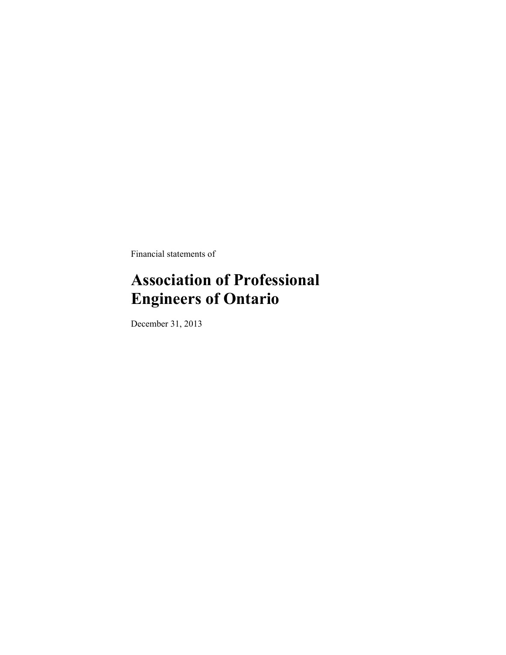Financial statements of

# **Association of Professional Engineers of Ontario**

December 31, 2013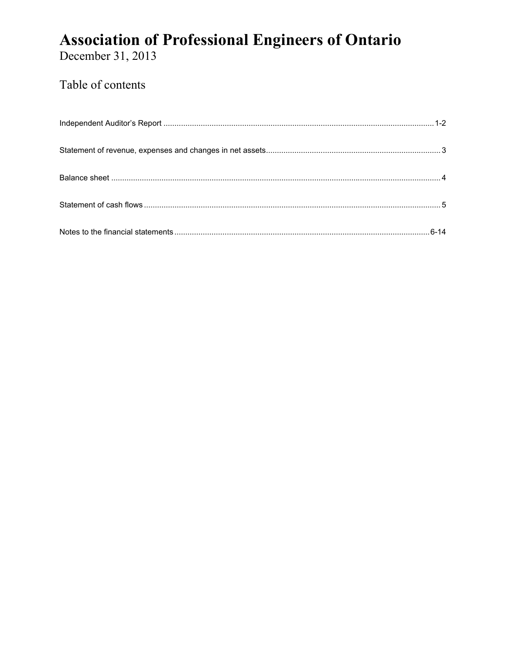December 31, 2013

# Table of contents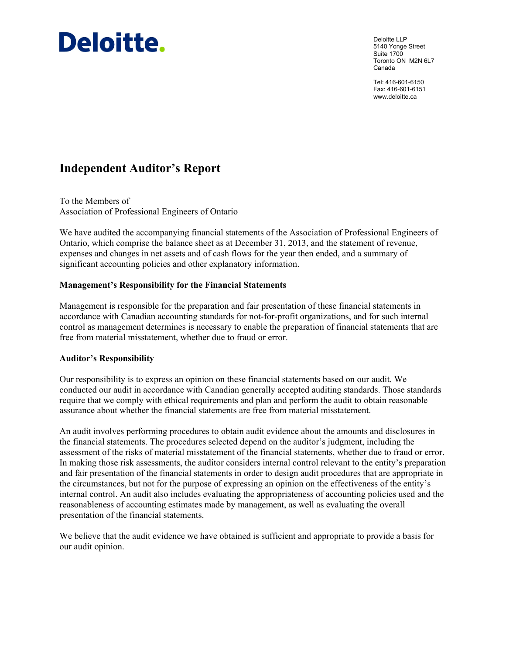# **Deloitte.**

Deloitte LLP 5140 Yonge Street Suite 1700 Toronto ON M2N 6L7 Canada

Tel: 416-601-6150 Fax: 416-601-6151 www.deloitte.ca

# **Independent Auditor's Report**

To the Members of Association of Professional Engineers of Ontario

We have audited the accompanying financial statements of the Association of Professional Engineers of Ontario, which comprise the balance sheet as at December 31, 2013, and the statement of revenue, expenses and changes in net assets and of cash flows for the year then ended, and a summary of significant accounting policies and other explanatory information.

# **Management's Responsibility for the Financial Statements**

Management is responsible for the preparation and fair presentation of these financial statements in accordance with Canadian accounting standards for not-for-profit organizations, and for such internal control as management determines is necessary to enable the preparation of financial statements that are free from material misstatement, whether due to fraud or error.

# **Auditor's Responsibility**

Our responsibility is to express an opinion on these financial statements based on our audit. We conducted our audit in accordance with Canadian generally accepted auditing standards. Those standards require that we comply with ethical requirements and plan and perform the audit to obtain reasonable assurance about whether the financial statements are free from material misstatement.

An audit involves performing procedures to obtain audit evidence about the amounts and disclosures in the financial statements. The procedures selected depend on the auditor's judgment, including the assessment of the risks of material misstatement of the financial statements, whether due to fraud or error. In making those risk assessments, the auditor considers internal control relevant to the entity's preparation and fair presentation of the financial statements in order to design audit procedures that are appropriate in the circumstances, but not for the purpose of expressing an opinion on the effectiveness of the entity's internal control. An audit also includes evaluating the appropriateness of accounting policies used and the reasonableness of accounting estimates made by management, as well as evaluating the overall presentation of the financial statements.

We believe that the audit evidence we have obtained is sufficient and appropriate to provide a basis for our audit opinion.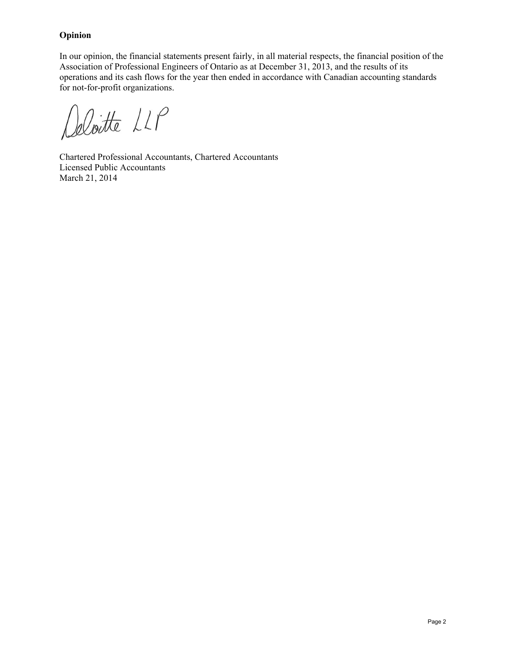# **Opinion**

In our opinion, the financial statements present fairly, in all material respects, the financial position of the Association of Professional Engineers of Ontario as at December 31, 2013, and the results of its operations and its cash flows for the year then ended in accordance with Canadian accounting standards for not-for-profit organizations.

Deloitte LLP

Chartered Professional Accountants, Chartered Accountants Licensed Public Accountants March 21, 2014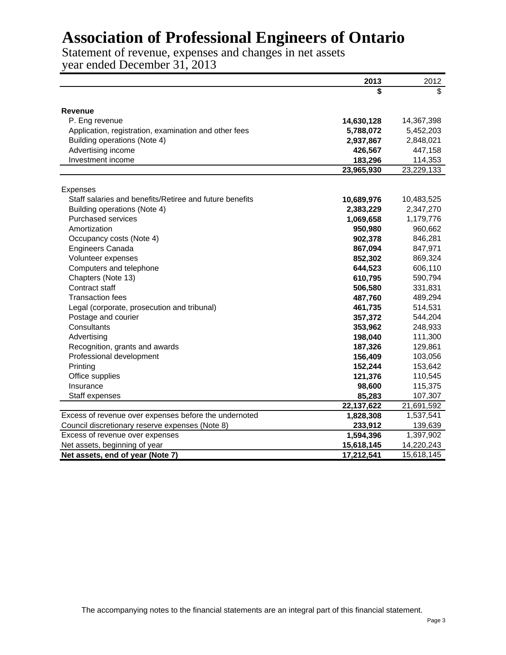Statement of revenue, expenses and changes in net assets year ended December 31, 2013

|                                                         | 2013       | 2012       |
|---------------------------------------------------------|------------|------------|
|                                                         | S          | \$.        |
|                                                         |            |            |
| <b>Revenue</b>                                          |            |            |
| P. Eng revenue                                          | 14,630,128 | 14,367,398 |
| Application, registration, examination and other fees   | 5,788,072  | 5,452,203  |
| Building operations (Note 4)                            | 2,937,867  | 2,848,021  |
| Advertising income                                      | 426,567    | 447,158    |
| Investment income                                       | 183,296    | 114,353    |
|                                                         | 23,965,930 | 23,229,133 |
| Expenses                                                |            |            |
| Staff salaries and benefits/Retiree and future benefits | 10,689,976 | 10,483,525 |
| Building operations (Note 4)                            | 2,383,229  | 2,347,270  |
| <b>Purchased services</b>                               | 1,069,658  | 1,179,776  |
| Amortization                                            | 950,980    | 960,662    |
| Occupancy costs (Note 4)                                | 902,378    | 846,281    |
| <b>Engineers Canada</b>                                 | 867,094    | 847,971    |
| Volunteer expenses                                      | 852,302    | 869,324    |
| Computers and telephone                                 | 644,523    | 606,110    |
| Chapters (Note 13)                                      | 610,795    | 590,794    |
| Contract staff                                          | 506,580    | 331,831    |
| <b>Transaction fees</b>                                 | 487,760    | 489,294    |
| Legal (corporate, prosecution and tribunal)             | 461,735    | 514,531    |
| Postage and courier                                     | 357,372    | 544,204    |
| Consultants                                             | 353,962    | 248,933    |
| Advertising                                             | 198,040    | 111,300    |
| Recognition, grants and awards                          | 187,326    | 129,861    |
| Professional development                                | 156,409    | 103,056    |
| Printing                                                | 152,244    | 153,642    |
| Office supplies                                         | 121,376    | 110,545    |
| Insurance                                               | 98,600     | 115,375    |
| Staff expenses                                          | 85,283     | 107,307    |
|                                                         | 22,137,622 | 21,691,592 |
| Excess of revenue over expenses before the undernoted   | 1,828,308  | 1,537,541  |
| Council discretionary reserve expenses (Note 8)         | 233,912    | 139,639    |
| Excess of revenue over expenses                         | 1,594,396  | 1,397,902  |
| Net assets, beginning of year                           | 15,618,145 | 14,220,243 |
| Net assets, end of year (Note 7)                        | 17,212,541 | 15,618,145 |

The accompanying notes to the financial statements are an integral part of this financial statement.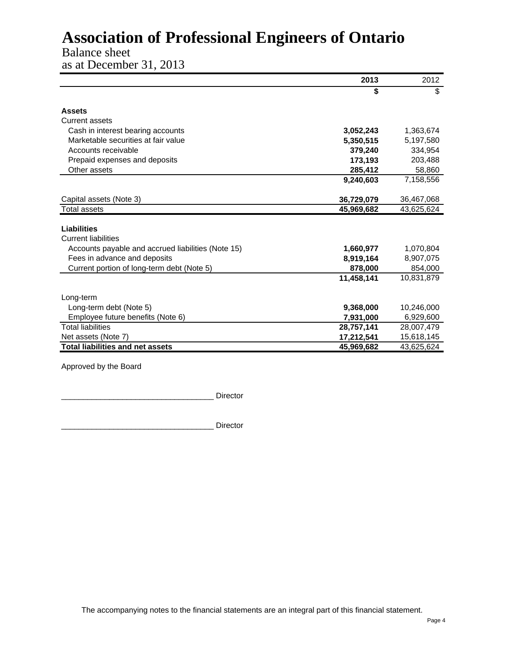# Balance sheet

as at December 31, 2013

|                                                    | 2013       | 2012       |
|----------------------------------------------------|------------|------------|
|                                                    | \$         | \$         |
| <b>Assets</b>                                      |            |            |
| <b>Current assets</b>                              |            |            |
|                                                    |            |            |
| Cash in interest bearing accounts                  | 3,052,243  | 1,363,674  |
| Marketable securities at fair value                | 5,350,515  | 5,197,580  |
| Accounts receivable                                | 379,240    | 334,954    |
| Prepaid expenses and deposits                      | 173,193    | 203,488    |
| Other assets                                       | 285,412    | 58,860     |
|                                                    | 9,240,603  | 7,158,556  |
|                                                    |            |            |
| Capital assets (Note 3)                            | 36,729,079 | 36,467,068 |
| <b>Total assets</b>                                | 45,969,682 | 43,625,624 |
|                                                    |            |            |
| <b>Liabilities</b>                                 |            |            |
| <b>Current liabilities</b>                         |            |            |
| Accounts payable and accrued liabilities (Note 15) | 1,660,977  | 1,070,804  |
| Fees in advance and deposits                       | 8,919,164  | 8,907,075  |
| Current portion of long-term debt (Note 5)         | 878,000    | 854,000    |
|                                                    | 11,458,141 | 10.831.879 |
|                                                    |            |            |
| Long-term                                          |            |            |
| Long-term debt (Note 5)                            | 9,368,000  | 10,246,000 |
| Employee future benefits (Note 6)                  | 7,931,000  | 6,929,600  |
| <b>Total liabilities</b>                           | 28,757,141 | 28,007,479 |
| Net assets (Note 7)                                | 17,212,541 | 15,618,145 |
| Total liabilities and net assets                   | 45,969,682 | 43,625,624 |

Approved by the Board

\_\_\_\_\_\_\_\_\_\_\_\_\_\_\_\_\_\_\_\_\_\_\_\_\_\_\_\_\_\_\_\_\_\_\_ Director

\_\_\_\_\_\_\_\_\_\_\_\_\_\_\_\_\_\_\_\_\_\_\_\_\_\_\_\_\_\_\_\_\_\_\_ Director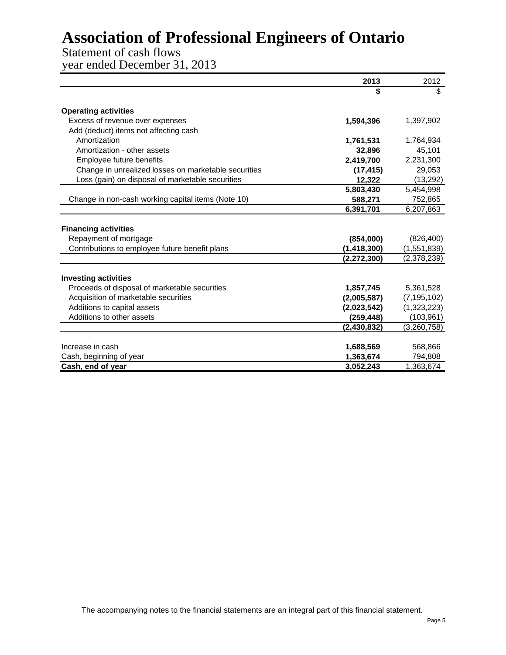# Statement of cash flows

year ended December 31, 2013

|                                                      | 2013          | 2012          |
|------------------------------------------------------|---------------|---------------|
|                                                      | \$            | \$            |
| <b>Operating activities</b>                          |               |               |
| Excess of revenue over expenses                      | 1,594,396     | 1,397,902     |
| Add (deduct) items not affecting cash                |               |               |
| Amortization                                         | 1,761,531     | 1,764,934     |
| Amortization - other assets                          | 32,896        | 45,101        |
| Employee future benefits                             | 2,419,700     | 2,231,300     |
| Change in unrealized losses on marketable securities | (17, 415)     | 29,053        |
| Loss (gain) on disposal of marketable securities     | 12,322        | (13, 292)     |
|                                                      | 5,803,430     | 5,454,998     |
| Change in non-cash working capital items (Note 10)   | 588,271       | 752,865       |
|                                                      | 6,391,701     | 6,207,863     |
|                                                      |               |               |
| <b>Financing activities</b>                          |               |               |
| Repayment of mortgage                                | (854,000)     | (826, 400)    |
| Contributions to employee future benefit plans       | (1, 418, 300) | (1,551,839)   |
|                                                      | (2, 272, 300) | (2,378,239)   |
|                                                      |               |               |
| <b>Investing activities</b>                          |               |               |
| Proceeds of disposal of marketable securities        | 1,857,745     | 5,361,528     |
| Acquisition of marketable securities                 | (2,005,587)   | (7, 195, 102) |
| Additions to capital assets                          | (2,023,542)   | (1,323,223)   |
| Additions to other assets                            | (259,448)     | (103, 961)    |
|                                                      | (2, 430, 832) | (3,260,758)   |
|                                                      |               |               |
| Increase in cash                                     | 1,688,569     | 568,866       |
| Cash, beginning of year                              | 1,363,674     | 794,808       |
| Cash, end of year                                    | 3,052,243     | 1,363,674     |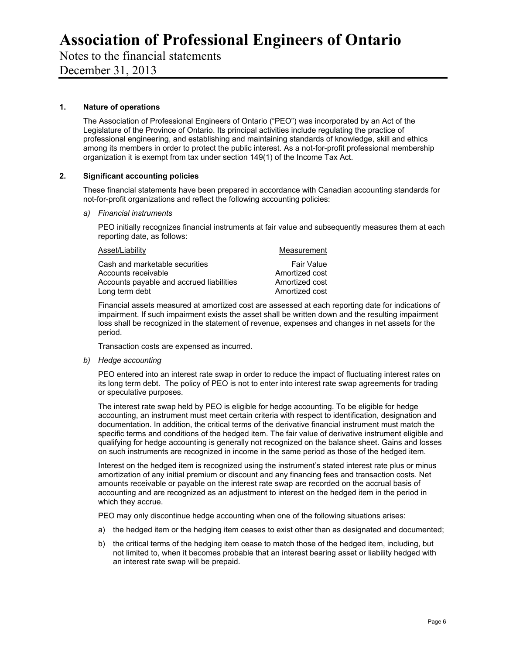Notes to the financial statements

December 31, 2013

# **1. Nature of operations**

The Association of Professional Engineers of Ontario ("PEO") was incorporated by an Act of the Legislature of the Province of Ontario. Its principal activities include regulating the practice of professional engineering, and establishing and maintaining standards of knowledge, skill and ethics among its members in order to protect the public interest. As a not-for-profit professional membership organization it is exempt from tax under section 149(1) of the Income Tax Act.

## **2. Significant accounting policies**

These financial statements have been prepared in accordance with Canadian accounting standards for not-for-profit organizations and reflect the following accounting policies:

### *a) Financial instruments*

PEO initially recognizes financial instruments at fair value and subsequently measures them at each reporting date, as follows:

| Asset/Liability                          | Measurement    |
|------------------------------------------|----------------|
| Cash and marketable securities           | Fair Value     |
| Accounts receivable                      | Amortized cost |
| Accounts payable and accrued liabilities | Amortized cost |
| Long term debt                           | Amortized cost |

Financial assets measured at amortized cost are assessed at each reporting date for indications of impairment. If such impairment exists the asset shall be written down and the resulting impairment loss shall be recognized in the statement of revenue, expenses and changes in net assets for the period.

Transaction costs are expensed as incurred.

*b) Hedge accounting* 

PEO entered into an interest rate swap in order to reduce the impact of fluctuating interest rates on its long term debt. The policy of PEO is not to enter into interest rate swap agreements for trading or speculative purposes.

The interest rate swap held by PEO is eligible for hedge accounting. To be eligible for hedge accounting, an instrument must meet certain criteria with respect to identification, designation and documentation. In addition, the critical terms of the derivative financial instrument must match the specific terms and conditions of the hedged item. The fair value of derivative instrument eligible and qualifying for hedge accounting is generally not recognized on the balance sheet. Gains and losses on such instruments are recognized in income in the same period as those of the hedged item.

Interest on the hedged item is recognized using the instrument's stated interest rate plus or minus amortization of any initial premium or discount and any financing fees and transaction costs. Net amounts receivable or payable on the interest rate swap are recorded on the accrual basis of accounting and are recognized as an adjustment to interest on the hedged item in the period in which they accrue.

PEO may only discontinue hedge accounting when one of the following situations arises:

- a) the hedged item or the hedging item ceases to exist other than as designated and documented;
- b) the critical terms of the hedging item cease to match those of the hedged item, including, but not limited to, when it becomes probable that an interest bearing asset or liability hedged with an interest rate swap will be prepaid.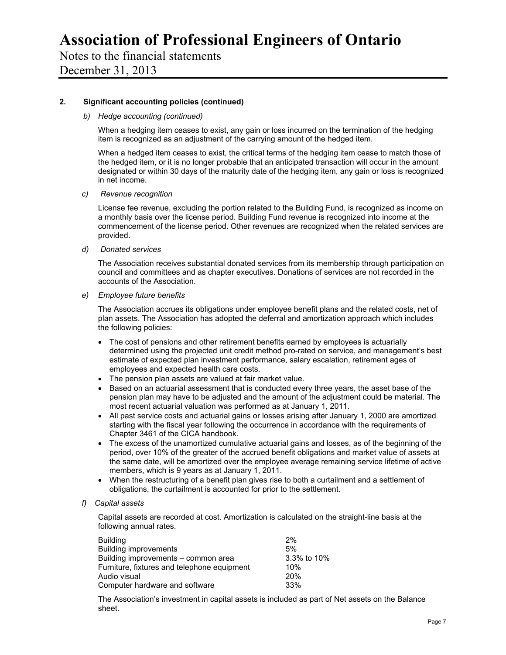Notes to the financial statements December 31, 2013

## **2. Significant accounting policies (continued)**

### *b) Hedge accounting (continued)*

When a hedging item ceases to exist, any gain or loss incurred on the termination of the hedging item is recognized as an adjustment of the carrying amount of the hedged item.

When a hedged item ceases to exist, the critical terms of the hedging item cease to match those of the hedged item, or it is no longer probable that an anticipated transaction will occur in the amount designated or within 30 days of the maturity date of the hedging item, any gain or loss is recognized in net income.

### *c) Revenue recognition*

License fee revenue, excluding the portion related to the Building Fund, is recognized as income on a monthly basis over the license period. Building Fund revenue is recognized into income at the commencement of the license period. Other revenues are recognized when the related services are provided.

*d) Donated services* 

The Association receives substantial donated services from its membership through participation on council and committees and as chapter executives. Donations of services are not recorded in the accounts of the Association.

*e) Employee future benefits* 

The Association accrues its obligations under employee benefit plans and the related costs, net of plan assets. The Association has adopted the deferral and amortization approach which includes the following policies:

- The cost of pensions and other retirement benefits earned by employees is actuarially determined using the projected unit credit method pro-rated on service, and management's best estimate of expected plan investment performance, salary escalation, retirement ages of employees and expected health care costs.
- The pension plan assets are valued at fair market value.
- Based on an actuarial assessment that is conducted every three years, the asset base of the pension plan may have to be adjusted and the amount of the adjustment could be material. The most recent actuarial valuation was performed as at January 1, 2011.
- All past service costs and actuarial gains or losses arising after January 1, 2000 are amortized starting with the fiscal year following the occurrence in accordance with the requirements of Chapter 3461 of the CICA handbook.
- The excess of the unamortized cumulative actuarial gains and losses, as of the beginning of the period, over 10% of the greater of the accrued benefit obligations and market value of assets at the same date, will be amortized over the employee average remaining service lifetime of active members, which is 9 years as at January 1, 2011.
- When the restructuring of a benefit plan gives rise to both a curtailment and a settlement of obligations, the curtailment is accounted for prior to the settlement.

## *f) Capital assets*

Capital assets are recorded at cost. Amortization is calculated on the straight-line basis at the following annual rates.

| <b>Building</b>                             | 2%          |
|---------------------------------------------|-------------|
| <b>Building improvements</b>                | 5%          |
| Building improvements - common area         | 3.3% to 10% |
| Furniture, fixtures and telephone equipment | 10%         |
| Audio visual                                | 20%         |
| Computer hardware and software              | 33%         |

The Association's investment in capital assets is included as part of Net assets on the Balance sheet.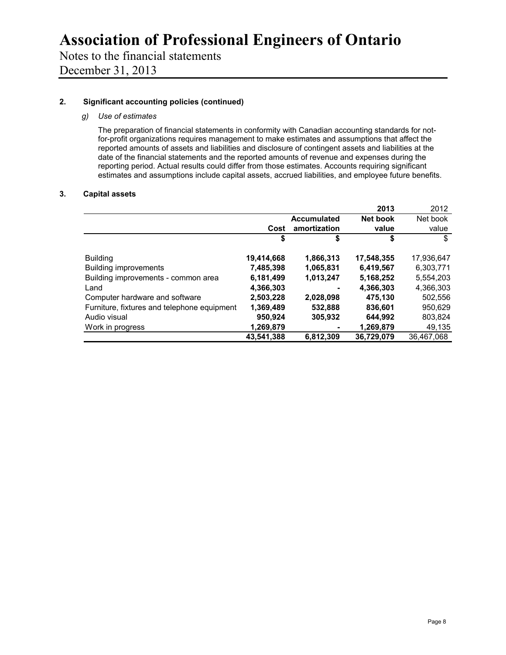Notes to the financial statements December 31, 2013

# **2. Significant accounting policies (continued)**

# *g) Use of estimates*

The preparation of financial statements in conformity with Canadian accounting standards for notfor-profit organizations requires management to make estimates and assumptions that affect the reported amounts of assets and liabilities and disclosure of contingent assets and liabilities at the date of the financial statements and the reported amounts of revenue and expenses during the reporting period. Actual results could differ from those estimates. Accounts requiring significant estimates and assumptions include capital assets, accrued liabilities, and employee future benefits.

## **3. Capital assets**

|                                             |            |                    | 2013       | 2012       |
|---------------------------------------------|------------|--------------------|------------|------------|
|                                             |            | <b>Accumulated</b> | Net book   | Net book   |
|                                             | Cost       | amortization       | value      | value      |
|                                             | \$         | \$                 | \$         | \$         |
| <b>Building</b>                             | 19,414,668 | 1,866,313          | 17,548,355 | 17,936,647 |
| <b>Building improvements</b>                | 7.485.398  | 1,065,831          | 6,419,567  | 6,303,771  |
| Building improvements - common area         | 6,181,499  | 1,013,247          | 5,168,252  | 5,554,203  |
| Land                                        | 4,366,303  |                    | 4,366,303  | 4,366,303  |
| Computer hardware and software              | 2,503,228  | 2,028,098          | 475,130    | 502,556    |
| Furniture, fixtures and telephone equipment | 1,369,489  | 532,888            | 836,601    | 950,629    |
| Audio visual                                | 950,924    | 305,932            | 644,992    | 803,824    |
| Work in progress                            | 1,269,879  |                    | 1,269,879  | 49,135     |
|                                             | 43.541.388 | 6,812,309          | 36,729,079 | 36.467.068 |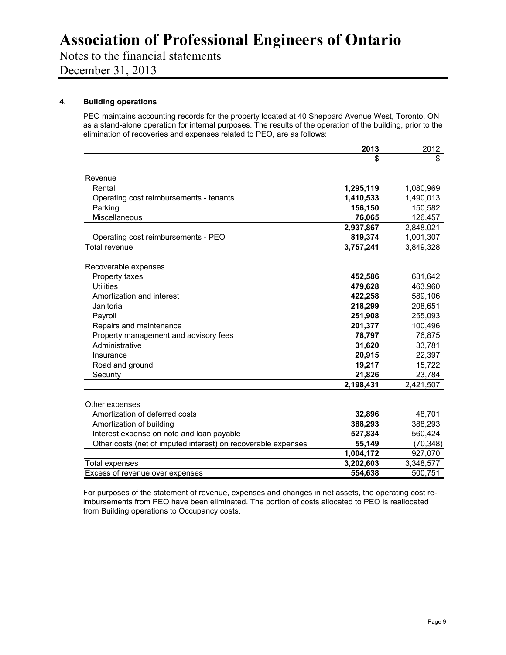Notes to the financial statements

December 31, 2013

# **4. Building operations**

PEO maintains accounting records for the property located at 40 Sheppard Avenue West, Toronto, ON as a stand-alone operation for internal purposes. The results of the operation of the building, prior to the elimination of recoveries and expenses related to PEO, are as follows:

|                                                               | 2013      | 2012      |
|---------------------------------------------------------------|-----------|-----------|
|                                                               | \$        | \$        |
|                                                               |           |           |
| Revenue                                                       |           |           |
| Rental                                                        | 1,295,119 | 1,080,969 |
| Operating cost reimbursements - tenants                       | 1,410,533 | 1,490,013 |
| Parking                                                       | 156,150   | 150,582   |
| Miscellaneous                                                 | 76,065    | 126,457   |
|                                                               | 2,937,867 | 2,848,021 |
| Operating cost reimbursements - PEO                           | 819,374   | 1,001,307 |
| Total revenue                                                 | 3,757,241 | 3,849,328 |
| Recoverable expenses                                          |           |           |
| Property taxes                                                | 452,586   | 631,642   |
| <b>Utilities</b>                                              | 479,628   | 463,960   |
| Amortization and interest                                     | 422,258   | 589,106   |
| Janitorial                                                    | 218,299   | 208,651   |
| Payroll                                                       | 251,908   | 255,093   |
| Repairs and maintenance                                       | 201,377   | 100,496   |
| Property management and advisory fees                         | 78,797    | 76,875    |
| Administrative                                                | 31,620    | 33,781    |
| Insurance                                                     | 20,915    | 22,397    |
| Road and ground                                               | 19,217    | 15,722    |
| Security                                                      | 21,826    | 23,784    |
|                                                               | 2,198,431 | 2,421,507 |
| Other expenses                                                |           |           |
| Amortization of deferred costs                                | 32,896    | 48,701    |
| Amortization of building                                      | 388,293   | 388,293   |
| Interest expense on note and loan payable                     | 527,834   | 560,424   |
| Other costs (net of imputed interest) on recoverable expenses | 55,149    | (70, 348) |
|                                                               | 1,004,172 | 927,070   |
| Total expenses                                                | 3,202,603 | 3,348,577 |
| Excess of revenue over expenses                               | 554,638   | 500,751   |
|                                                               |           |           |

For purposes of the statement of revenue, expenses and changes in net assets, the operating cost reimbursements from PEO have been eliminated. The portion of costs allocated to PEO is reallocated from Building operations to Occupancy costs.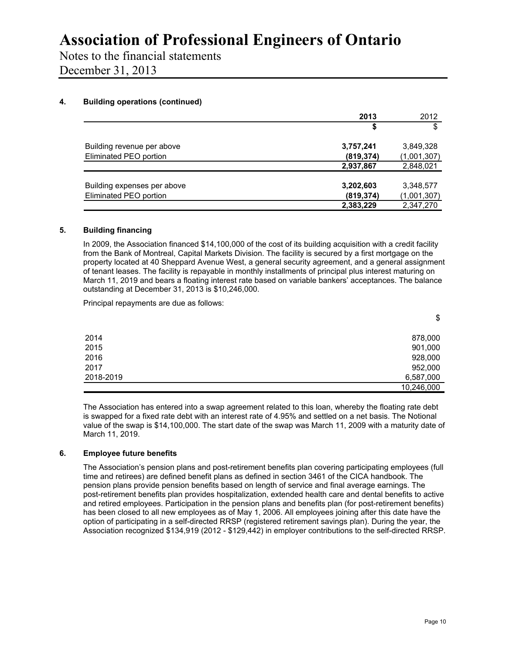Notes to the financial statements December 31, 2013

## **4. Building operations (continued)**

| 2013       | 2012        |
|------------|-------------|
| \$         | \$          |
| 3,757,241  | 3,849,328   |
| (819, 374) | (1,001,307) |
| 2,937,867  | 2,848,021   |
| 3,202,603  | 3,348,577   |
| (819, 374) | (1,001,307) |
| 2,383,229  | 2,347,270   |
|            |             |

## **5. Building financing**

In 2009, the Association financed \$14,100,000 of the cost of its building acquisition with a credit facility from the Bank of Montreal, Capital Markets Division. The facility is secured by a first mortgage on the property located at 40 Sheppard Avenue West, a general security agreement, and a general assignment of tenant leases. The facility is repayable in monthly installments of principal plus interest maturing on March 11, 2019 and bears a floating interest rate based on variable bankers' acceptances. The balance outstanding at December 31, 2013 is \$10,246,000.

Principal repayments are due as follows:

2014 878,000 2015 901,000 2016 928,000 2017 952,000 2018-2019 6,587,000 10,246,000

The Association has entered into a swap agreement related to this loan, whereby the floating rate debt is swapped for a fixed rate debt with an interest rate of 4.95% and settled on a net basis. The Notional value of the swap is \$14,100,000. The start date of the swap was March 11, 2009 with a maturity date of March 11, 2019.

## **6. Employee future benefits**

The Association's pension plans and post-retirement benefits plan covering participating employees (full time and retirees) are defined benefit plans as defined in section 3461 of the CICA handbook. The pension plans provide pension benefits based on length of service and final average earnings. The post-retirement benefits plan provides hospitalization, extended health care and dental benefits to active and retired employees. Participation in the pension plans and benefits plan (for post-retirement benefits) has been closed to all new employees as of May 1, 2006. All employees joining after this date have the option of participating in a self-directed RRSP (registered retirement savings plan). During the year, the Association recognized \$134,919 (2012 - \$129,442) in employer contributions to the self-directed RRSP.

\$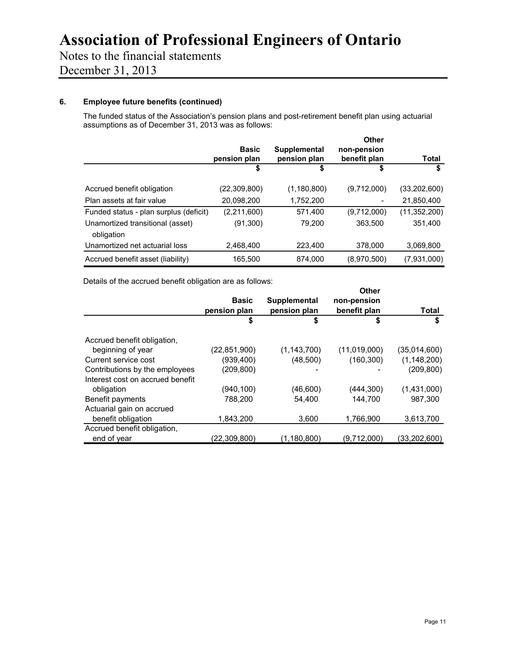# Notes to the financial statements

December 31, 2013

# **6. Employee future benefits (continued)**

The funded status of the Association's pension plans and post-retirement benefit plan using actuarial assumptions as of December 31, 2013 was as follows:

|                                                | <b>Basic</b>       | Supplemental       | Other<br>non-pension |                |
|------------------------------------------------|--------------------|--------------------|----------------------|----------------|
|                                                | pension plan<br>\$ | pension plan<br>\$ | benefit plan<br>\$   | Total<br>S     |
| Accrued benefit obligation                     | (22, 309, 800)     | (1,180,800)        | (9,712,000)          | (33, 202, 600) |
| Plan assets at fair value                      | 20.098.200         | 1,752,200          |                      | 21,850,400     |
| Funded status - plan surplus (deficit)         | (2,211,600)        | 571,400            | (9,712,000)          | (11,352,200)   |
| Unamortized transitional (asset)<br>obligation | (91,300)           | 79.200             | 363.500              | 351.400        |
| Unamortized net actuarial loss                 | 2.468.400          | 223,400            | 378,000              | 3.069.800      |
| Accrued benefit asset (liability)              | 165,500            | 874,000            | (8,970,500)          | (7,931,000)    |

Details of the accrued benefit obligation are as follows:

|                                  | <b>Basic</b><br>pension plan | <b>Supplemental</b><br>pension plan | <b>Other</b><br>non-pension<br>benefit plan | Total         |
|----------------------------------|------------------------------|-------------------------------------|---------------------------------------------|---------------|
|                                  | \$                           | S                                   | S                                           | \$            |
| Accrued benefit obligation,      |                              |                                     |                                             |               |
| beginning of year                | (22, 851, 900)               | (1, 143, 700)                       | (11,019,000)                                | (35,014,600)  |
| Current service cost             | (939, 400)                   | (48, 500)                           | (160, 300)                                  | (1, 148, 200) |
| Contributions by the employees   | (209, 800)                   |                                     |                                             | (209,800)     |
| Interest cost on accrued benefit |                              |                                     |                                             |               |
| obligation                       | (940,100)                    | (46,600)                            | (444,300)                                   | (1,431,000)   |
| Benefit payments                 | 788,200                      | 54,400                              | 144,700                                     | 987.300       |
| Actuarial gain on accrued        |                              |                                     |                                             |               |
| benefit obligation               | 1,843,200                    | 3,600                               | 1,766,900                                   | 3,613,700     |
| Accrued benefit obligation,      |                              |                                     |                                             |               |
| end of year                      | (22,309,800)                 | (1,180,800)                         | (9,712,000)                                 | (33,202,600)  |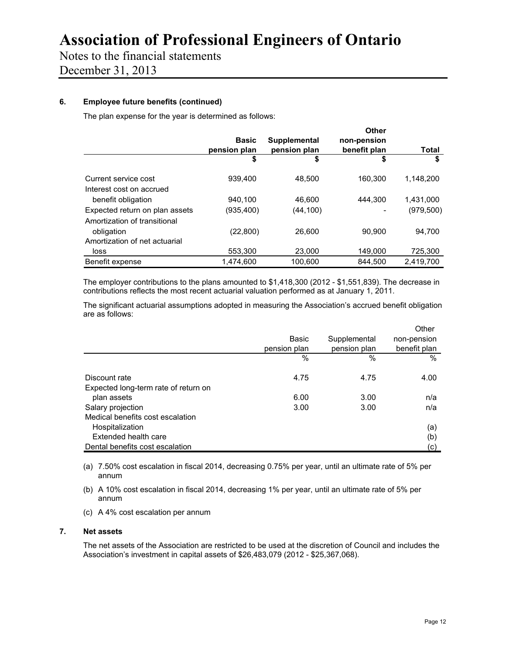Notes to the financial statements December 31, 2013

# **6. Employee future benefits (continued)**

The plan expense for the year is determined as follows:

|                                | <b>Basic</b><br>pension plan | Supplemental<br>pension plan | <b>Other</b><br>non-pension<br>benefit plan | Total      |
|--------------------------------|------------------------------|------------------------------|---------------------------------------------|------------|
|                                | S                            | \$                           | S                                           | S          |
| Current service cost           | 939.400                      | 48.500                       | 160.300                                     | 1.148.200  |
| Interest cost on accrued       |                              |                              |                                             |            |
| benefit obligation             | 940.100                      | 46.600                       | 444.300                                     | 1,431,000  |
| Expected return on plan assets | (935,400)                    | (44,100)                     |                                             | (979, 500) |
| Amortization of transitional   |                              |                              |                                             |            |
| obligation                     | (22, 800)                    | 26.600                       | 90,900                                      | 94.700     |
| Amortization of net actuarial  |                              |                              |                                             |            |
| loss                           | 553,300                      | 23.000                       | 149.000                                     | 725,300    |
| Benefit expense                | 1,474,600                    | 100,600                      | 844,500                                     | 2,419,700  |

The employer contributions to the plans amounted to \$1,418,300 (2012 - \$1,551,839). The decrease in contributions reflects the most recent actuarial valuation performed as at January 1, 2011.

The significant actuarial assumptions adopted in measuring the Association's accrued benefit obligation are as follows:

|                                      |              |              | Other        |
|--------------------------------------|--------------|--------------|--------------|
|                                      | Basic        | Supplemental | non-pension  |
|                                      | pension plan | pension plan | benefit plan |
|                                      | %            | $\%$         | %            |
| Discount rate                        | 4.75         | 4.75         | 4.00         |
| Expected long-term rate of return on |              |              |              |
| plan assets                          | 6.00         | 3.00         | n/a          |
| Salary projection                    | 3.00         | 3.00         | n/a          |
| Medical benefits cost escalation     |              |              |              |
| Hospitalization                      |              |              | (a)          |
| Extended health care                 |              |              | (b)          |
| Dental benefits cost escalation      |              |              | (c)          |

- (a) 7.50% cost escalation in fiscal 2014, decreasing 0.75% per year, until an ultimate rate of 5% per annum
- (b) A 10% cost escalation in fiscal 2014, decreasing 1% per year, until an ultimate rate of 5% per annum
- (c) A 4% cost escalation per annum

### **7. Net assets**

The net assets of the Association are restricted to be used at the discretion of Council and includes the Association's investment in capital assets of \$26,483,079 (2012 - \$25,367,068).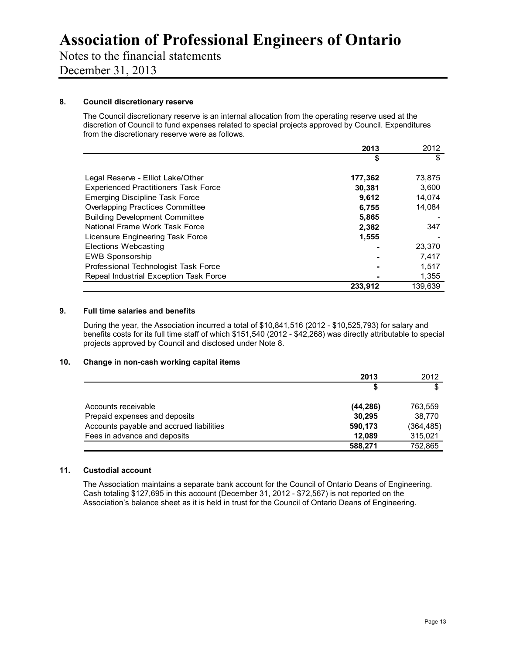Notes to the financial statements December 31, 2013

### **8. Council discretionary reserve**

The Council discretionary reserve is an internal allocation from the operating reserve used at the discretion of Council to fund expenses related to special projects approved by Council. Expenditures from the discretionary reserve were as follows.

|                                             | 2013    | 2012    |
|---------------------------------------------|---------|---------|
|                                             | \$      | \$      |
|                                             |         |         |
| Legal Reserve - Elliot Lake/Other           | 177,362 | 73,875  |
| <b>Experienced Practitioners Task Force</b> | 30,381  | 3,600   |
| <b>Emerging Discipline Task Force</b>       | 9.612   | 14,074  |
| <b>Overlapping Practices Committee</b>      | 6,755   | 14.084  |
| <b>Building Development Committee</b>       | 5,865   |         |
| National Frame Work Task Force              | 2,382   | 347     |
| Licensure Engineering Task Force            | 1,555   |         |
| Elections Webcasting                        |         | 23.370  |
| <b>EWB Sponsorship</b>                      |         | 7.417   |
| Professional Technologist Task Force        |         | 1,517   |
| Repeal Industrial Exception Task Force      |         | 1,355   |
|                                             | 233.912 | 139,639 |

### **9. Full time salaries and benefits**

During the year, the Association incurred a total of \$10,841,516 (2012 - \$10,525,793) for salary and benefits costs for its full time staff of which \$151,540 (2012 - \$42,268) was directly attributable to special projects approved by Council and disclosed under Note 8.

### **10. Change in non-cash working capital items**

|                                          | 2013      | 2012       |
|------------------------------------------|-----------|------------|
|                                          |           | \$         |
| Accounts receivable                      | (44, 286) | 763.559    |
| Prepaid expenses and deposits            | 30.295    | 38.770     |
| Accounts payable and accrued liabilities | 590,173   | (364, 485) |
| Fees in advance and deposits             | 12.089    | 315,021    |
|                                          | 588,271   | 752,865    |

### **11. Custodial account**

The Association maintains a separate bank account for the Council of Ontario Deans of Engineering. Cash totaling \$127,695 in this account (December 31, 2012 - \$72,567) is not reported on the Association's balance sheet as it is held in trust for the Council of Ontario Deans of Engineering.